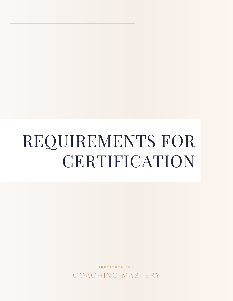# REQUIREMENTS FOR **CERTIFICATION**

INSTITUTE FOR COACHING MASTERY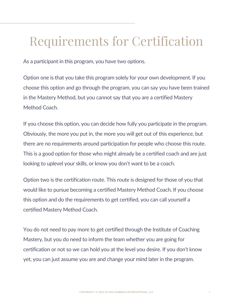# Requirements for Certification

As a participant in this program, you have two options.

Option one is that you take this program solely for your own development. If you choose this option and go through the program, you can say you have been trained in the Mastery Method, but you cannot say that you are a certified Mastery Method Coach.

If you choose this option, you can decide how fully you participate in the program. Obviously, the more you put in, the more you will get out of this experience, but there are no requirements around participation for people who choose this route. This is a good option for those who might already be a certified coach and are just looking to uplevel your skills, or know you don't want to be a coach.

Option two is the certification route. This route is designed for those of you that would like to pursue becoming a certified Mastery Method Coach. If you choose this option and do the requirements to get certified, you can call yourself a certified Mastery Method Coach.

You do not need to pay more to get certified through the Institute of Coaching Mastery, but you do need to inform the team whether you are going for certification or not so we can hold you at the level you desire. If you don't know yet, you can just assume you are and change your mind later in the program.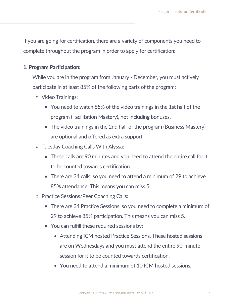If you are going for certification, there are a variety of components you need to complete throughout the program in order to apply for certification:

## 1. Program Participation:

While you are in the program from January - December, you must actively participate in at least 85% of the following parts of the program:

- Video Trainings:
	- You need to watch 85% of the video trainings in the 1st half of the program (Facilitation Mastery), not including bonuses.
	- The video trainings in the 2nd half of the program (Business Mastery) are optional and offered as extra support.
- Tuesday Coaching Calls With Alyssa:
	- These calls are 90 minutes and you need to attend the entire call for it to be counted towards certification.
	- There are 34 calls, so you need to attend a minimum of 29 to achieve 85% attendance. This means you can miss 5.
- o Practice Sessions/Peer Coaching Calls:
	- There are 34 Practice Sessions, so you need to complete a minimum of 29 to achieve 85% participation. This means you can miss 5.
	- You can fulfill these required sessions by:
		- Attending ICM hosted Practice Sessions. These hosted sessions are on Wednesdays and you must attend the entire 90-minute session for it to be counted towards certification.
		- You need to attend a minimum of 10 ICM hosted sessions.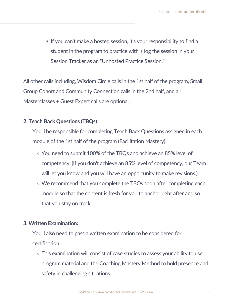If you can't make a hosted session, it's your responsibility to find a student in the program to practice with + log the session in your Session Tracker as an "Unhosted Practice Session. "

All other calls including, Wisdom Circle calls in the 1st half of the program, Small Group Cohort and Community Connection calls in the 2nd half, and all Masterclasses + Guest Expert calls are optional.

# 2. Teach Back Questions (TBQs):

You'll be responsible for completing Teach Back Questions assigned in each module of the 1st half of the program (Facilitation Mastery).

- You need to submit 100% of the TBQs and achieve an 85% level of competency. (If you don't achieve an 85% level of competency, our Team will let you know and you will have an opportunity to make revisions.)
- We recommend that you complete the TBQs soon after completing each module so that the content is fresh for you to anchor right after and so that you stay on track.

## 3. Written Examination:

You'll also need to pass a written examination to be considered for certification.

This examination will consist of case studies to assess your ability to use program material and the Coaching Mastery Method to hold presence and safety in challenging situations.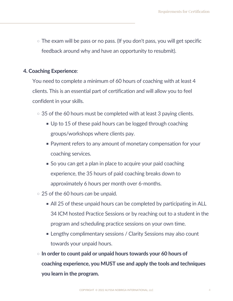$\circ$  The exam will be pass or no pass. (If you don't pass, you will get specific feedback around why and have an opportunity to resubmit).

#### 4. Coaching Experience:

You need to complete a minimum of 60 hours of coaching with at least 4 clients. This is an essential part of certification and will allow you to feel confident in your skills.

- $\circ$  35 of the 60 hours must be completed with at least 3 paying clients.
	- Up to 15 of these paid hours can be logged through coaching groups/workshops where clients pay.
	- **Payment refers to any amount of monetary compensation for your** coaching services.
	- So you can get a plan in place to acquire your paid coaching experience, the 35 hours of paid coaching breaks down to approximately 6 hours per month over 6-months.
- 25 of the 60 hours *can* be unpaid.
	- All 25 of these unpaid hours can be completed by participating in ALL 34 ICM hosted Practice Sessions or by reaching out to a student in the program and scheduling practice sessions on your own time.
	- Lengthy complimentary sessions / Clarity Sessions may also count towards your unpaid hours.
- $\circ$  In order to count paid or unpaid hours towards your 60 hours of coaching experience, you MUST use and apply the tools and techniques you learn in the program.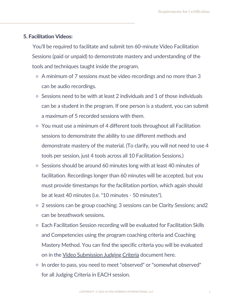#### 5. Facilitation Videos:

You'll be required to facilitate and submit ten 60-minute Video Facilitation Sessions (paid or unpaid) to demonstrate mastery and understanding of the tools and techniques taught inside the program.

- A minimum of 7 sessions must be video recordings and no more than 3 can be audio recordings.
- Sessions need to be with at least 2 individuals and 1 of those individuals can be a student in the program. If one person is a student, you can submit a maximum of 5 recorded sessions with them.
- You must use a minimum of 4 different tools throughout all Facilitation sessions to demonstrate the ability to use different methods and demonstrate mastery of the material. (To clarify, you will not need to use 4 tools per session, just 4 tools across all 10 Facilitation Sessions.)
- Sessions should be around 60 minutes long with at least 40 minutes of facilitation. Recordings longer than 60 minutes will be accepted, but you must provide timestamps for the facilitation portion, which again should be at least 40 minutes (i.e. "10 minutes - 50 minutes").
- 2 sessions can be group coaching; 3 sessions can be Clarity Sessions; and2 can be breathwork sessions.
- Each Facilitation Session recording will be evaluated for Facilitation Skills and Competencies using the program coaching criteria and Coaching Mastery Method. You can find the specific criteria you will be evaluated on in the Video [Submission](https://www.alyssanobriga.com/uploads/2021/01/Video-submission-juding-criteria.pdf) Judging Criteria [document](https://www.alyssanobriga.com/uploads/2021/01/Video-submission-juding-criteria.pdf) here.
- o In order to pass, you need to meet "observed" or "somewhat observed" for all Judging Criteria in EACH session.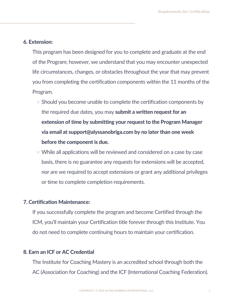#### 6. Extension:

This program has been designed for you to complete and graduate at the end of the Program; however, we understand that you may encounter unexpected life circumstances, changes, or obstacles throughout the year that may prevent you from completing the certification components within the 11 months of the Program.

- $\circ$  Should you become unable to complete the certification components by the required due dates, you may **submit a written request for an** extension of time by submitting your request to the Program Manager via email at support@alyssanobriga.com by no later than one week before the component is due.
- While all applications will be reviewed and considered on a case by case basis, there is no guarantee any requests for extensions will be accepted, nor are we required to accept extensions or grant any additional privileges or time to complete completion requirements.

#### 7. Certification Maintenance:

If you successfully complete the program and become Certified through the ICM, you'll maintain your Certification title forever through this Institute. You do not need to complete continuing hours to maintain your certification.

#### 8. Earn an ICF or AC Credential

The Institute for Coaching Mastery is an accredited school through both the AC (Association for Coaching) and the ICF (International Coaching Federation).